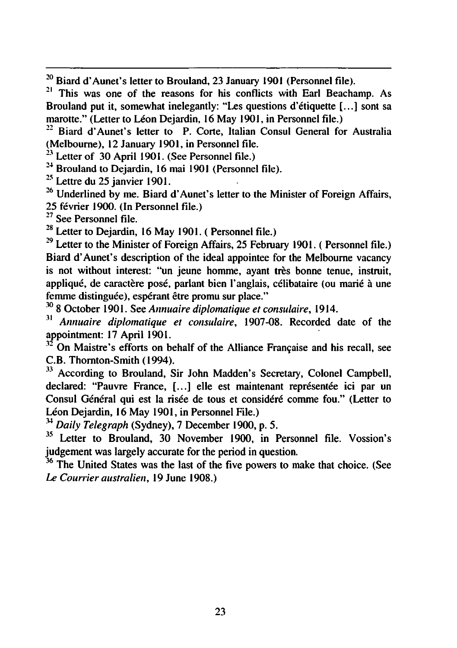$20$  Biard d'Aunet's letter to Brouland, 23 January 1901 (Personnel file).

<sup>21</sup> This was one of the reasons for his conflicts with Earl Beachamp. As Brouland put it, somewhat inelegantly: "Les questions d'etiquette [...] sont sa marotte." (Letter to Léon Dejardin, 16 May 1901, in Personnel file.)

<sup>22</sup> Biard d'Aunet's letter to P. Corte, Italian Consul General for Australia (Melbourne), 12 January 1901, in Personnel file.

 $23$  Letter of 30 April 1901. (See Personnel file.)

<sup>24</sup> Brouland to Dejardin, 16 mai 1901 (Personnel file).

 $25$  Lettre du 25 janvier 1901.

 $26$  Underlined by me. Biard d'Aunet's letter to the Minister of Foreign Affairs, 25 fevrier 1900. (In Personnel file.)

<sup>27</sup> See Personnel file.

 $28$  Letter to Dejardin, 16 May 1901. (Personnel file.)

 $29$  Letter to the Minister of Foreign Affairs, 25 February 1901. (Personnel file.) Biard d'Aunet's description of the ideal appointee for the Melbourne vacancy is not without interest: "un jeune homme, avant très bonne tenue, instruit, appliqué, de caractère posé, parlant bien l'anglais, célibataire (ou marié à une femme distinguée), espérant être promu sur place."

<sup>30</sup> October 1901. See Annuaire diplomatique et consulaire, 1914.

 $31$  Annuaire diplomatique et consulaire, 1907-08. Recorded date of the appointment: 17 April 1901.

 $12^2$  On Maistre's efforts on behalf of the Alliance Francaise and his recall, see C.B. Thornton-Smith (1994).

<sup>33</sup> According to Brouland, Sir John Madden's Secretary, Colonel Campbell, declared: "Pauvre France, [...] elle est maintenant représentée ici par un Consul Général qui est la risée de tous et considéré comme fou." (Letter to Léon Dejardin, 16 May 1901, in Personnel File.)

 $34$  Daily Telegraph (Sydney), 7 December 1900, p. 5.

<sup>35</sup> Letter to Brouland, 30 November 1900, in Personnel file. Vossion's judgement was largely accurate for the period in question.

<sup>36</sup> The United States was the last of the five powers to make that choice. (See Le Courrier australien, 19 June 1908.)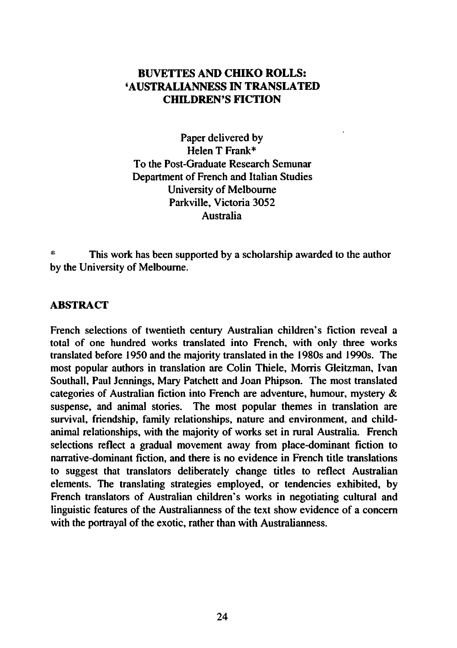# BUVETTES AND CHIKO ROLLS: 'AUSTRALIANNESS IN TRANSLATED CHILDREN'S FICTION

Paper delivered by Helen T Frank\* To the Post-Graduate Research Semunar Department of French and Italian Studies University of Melbourne Parkville, Victoria 3052 Australia

This work has been supported by a scholarship awarded to the author by the University of Melbourne.

### ABSTRACT

French selections of twentieth century Australian children's fiction reveal total of one hundred works translated into French, with only three works translated before 1950 and the majority translated in the 1980s and 1990s. The most popular authors in translation are Colin Thiele, Morris Gleitzman, Ivan Southall, Paul Jennings, Mary Patchett and Joan Phipson. The most translated categories of Australian fiction into French are adventure, humour, mystery suspense, and animal stories. The most popular themes in translation are survival, friendship, family relationships, nature and environment, and childanimal relationships, with the majority of works set in rural Australia. French selections reflect a gradual movement away from place-dominant fiction to narrative-dominant fiction, and there is no evidence in French title translations to suggest that translators deliberately change titles to reflect Australian elements. The translating strategies employed, or tendencies exhibited, by French translators of Australian children's works in negotiating cultural and linguistic features of the Australianness of the text show evidence of a concern with the portrayal of the exotic, rather than with Australianness.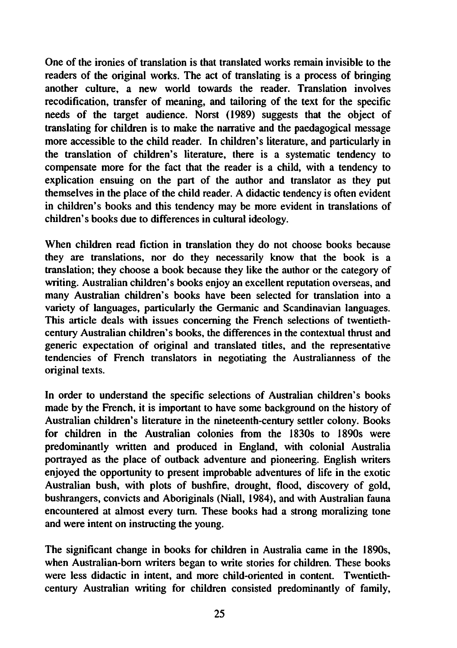One of the ironies of translation is that translated works remain invisible to the readers of the original works. The act of translating is a process of bringing another culture, a new world towards the reader. Translation involves recodification, transfer of meaning, and tailoring of the text for the specific needs of the target audience. Norst (1989) suggests that the object of translating for children is to make the narrative and the paedagogical message more accessible to the child reader. In children's literature, and particularly in the translation of children's literature, there is a systematic tendency to compensate more for the fact that the reader is a child, with a tendency to explication ensuing on the part of the author and translator as they put themselves in the place of the child reader. A didactic tendency is often evident in children's books and this tendency may be more evident in translations of children's books due to differences in cultural ideology.

When children read fiction in translation they do not choose books because they are translations, nor do they necessarily know that the book is a translation; they choose a book because they like the author or the category of writing. Australian children's books enjoy an excellent reputation overseas, and many Australian children's books have been selected for translation into variety of languages, particularly the Germanic and Scandinavian languages. This article deals with issues concerning the French selections of twentiethcentury Australian children's books, the differences in the contextual thrust and generic expectation of original and translated titles, and the representative tendencies of French translators in negotiating the Australianness of the original texts.

In order to understand the specific selections of Australian children's books made by the French, it is important to have some background on the history of Australian children's literature in the nineteenth-century settler colony. Books for children in the Australian colonies from the 1830s to 1890s were predominantly written and produced in England, with colonial Australia portrayed as the place of outback adventure and pioneering. English writers enjoyed the opportunity to present improbable adventures of life in the exotic Australian bush, with plots of bushfire, drought, flood, discovery of gold, bushrangers, convicts and Aboriginals (Niall, 1984), and with Australian fauna encountered at almost every turn. These books had a strong moralizing tone and were intent on instructing the young.

The significant change in books for children in Australia came in the 1890s, when Australian-born writers began to write stories for children. These books were less didactic in intent, and more child-oriented in content. Twentiethcentury Australian writing for children consisted predominantly of family,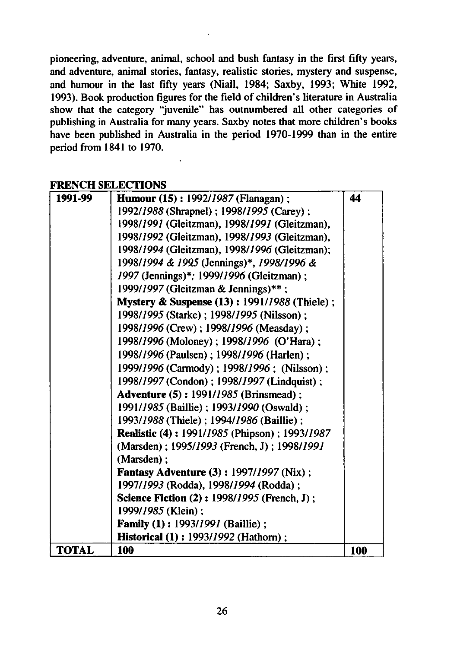pioneering, adventure, animal, school and bush fantasy in the first fifty years, and adventure, animal stories, fantasy, realistic stories, mystery and suspense, and humour in the last fifty years (Niall, 1984; Saxby, 1993; White 1992, 1993). Book production figures for the field of children's literature in Australia show that the category "juvenile" has outnumbered all other categories of publishing in Australia for many years. Saxby notes that more children's books have been published in Australia in the period 1970-1999 than in the entire period from 1841 to 1970.

# FDENCH SELECTIONS

| 1991-99      | <b>Humour (15): 1992/1987 (Flanagan);</b>               | 44  |
|--------------|---------------------------------------------------------|-----|
|              | 1992/1988 (Shrapnel); 1998/1995 (Carey);                |     |
|              | 1998/1991 (Gleitzman), 1998/1991 (Gleitzman),           |     |
|              | 1998/1992 (Gleitzman), 1998/1993 (Gleitzman),           |     |
|              | 1998/1994 (Gleitzman), 1998/1996 (Gleitzman);           |     |
|              | 1998/1994 & 1995 (Jennings)*, 1998/1996 &               |     |
|              | 1997 (Jennings)*; 1999/1996 (Gleitzman);                |     |
|              | 1999/1997 (Gleitzman & Jennings)**;                     |     |
|              | <b>Mystery &amp; Suspense (13): 1991/1988 (Thiele);</b> |     |
|              | 1998/1995 (Starke); 1998/1995 (Nilsson);                |     |
|              | 1998/1996 (Crew); 1998/1996 (Measday);                  |     |
|              | 1998/1996 (Moloney); 1998/1996 (O'Hara);                |     |
|              | 1998/1996 (Paulsen); 1998/1996 (Harlen);                |     |
|              | 1999/1996 (Carmody); 1998/1996; (Nilsson);              |     |
|              | 1998/1997 (Condon); 1998/1997 (Lindquist);              |     |
|              | <b>Adventure (5): 1991/1985 (Brinsmead):</b>            |     |
|              | 1991/1985 (Baillie); 1993/1990 (Oswald);                |     |
|              | 1993/1988 (Thiele); 1994/1986 (Baillie);                |     |
|              | <b>Realistic (4): 1991/1985 (Phipson): 1993/1987</b>    |     |
|              | (Marsden); 1995/1993 (French, J); 1998/1991             |     |
|              | (Marsden):                                              |     |
|              | <b>Fantasy Adventure (3): 1997/1997 (Nix);</b>          |     |
|              | 1997/1993 (Rodda), 1998/1994 (Rodda);                   |     |
|              | <b>Science Fiction (2): 1998/1995 (French, J):</b>      |     |
|              | 1999/1985 (Klein);                                      |     |
|              | <b>Family (1): 1993/1991 (Baillie);</b>                 |     |
|              | <b>Historical (1): 1993/1992 (Hathorn);</b>             |     |
| <b>TOTAL</b> | 100                                                     | 100 |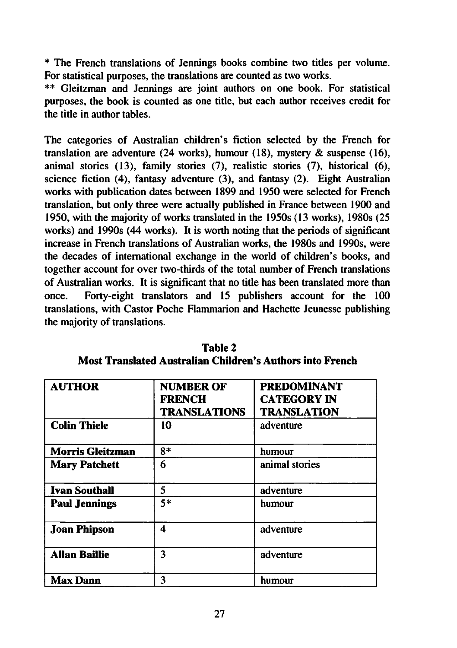The French translations of Jennings books combine two titles per volume. For statistical purposes, the translations are counted as two works.

\*\* Gleitzman and Jennings are joint authors on one book. For statistical purposes, the book is counted as one title, but each author receives credit for the title in author tables.

The categories of Australian children's fiction selected by the French for translation are adventure (24 works), humour (18), mystery  $\&$  suspense (16), animal stories (13), family stories (7), realistic stories (7), historical (6), science fiction (4), fantasy adventure (3), and fantasy (2). Eight Australian works with publication dates between 1899 and 1950 were selected for French translation, but only three were actually published in France between 1900 and 1950, with the majority of works translated in the 1950s (13 works), 1980s (25 works) and 1990s (44 works). It is worth noting that the periods of significant increase in French translations of Australian works, the 1980s and 1990s, were the decades of international exchange in the world of children's books, and together account for over two-thirds of the total number of French translations of Australian works. It is significant that no title has been translated more than once. Forty-eight translators and 15 publishers account for the 100 translations, with Castor Poche Flammarion and Hachette Jeunesse publishing the majority of translations.

| <b>AUTHOR</b>           | <b>NUMBER OF</b><br><b>FRENCH</b><br><b>TRANSLATIONS</b> | <b>PREDOMINANT</b><br><b>CATEGORY IN</b><br><b>TRANSLATION</b> |
|-------------------------|----------------------------------------------------------|----------------------------------------------------------------|
| <b>Colin Thiele</b>     | 10                                                       | adventure                                                      |
| <b>Morris Gleitzman</b> | $8*$                                                     | humour                                                         |
| <b>Mary Patchett</b>    | 6                                                        | animal stories                                                 |
| <b>Ivan Southall</b>    | 5                                                        | adventure                                                      |
| <b>Paul Jennings</b>    | 5*                                                       | humour                                                         |
| <b>Joan Phipson</b>     | 4                                                        | adventure                                                      |
| <b>Allan Baillie</b>    | 3                                                        | adventure                                                      |
| Max Dann                | 3                                                        | humour                                                         |

Table 2 Most Translated Australian Children's Authors into French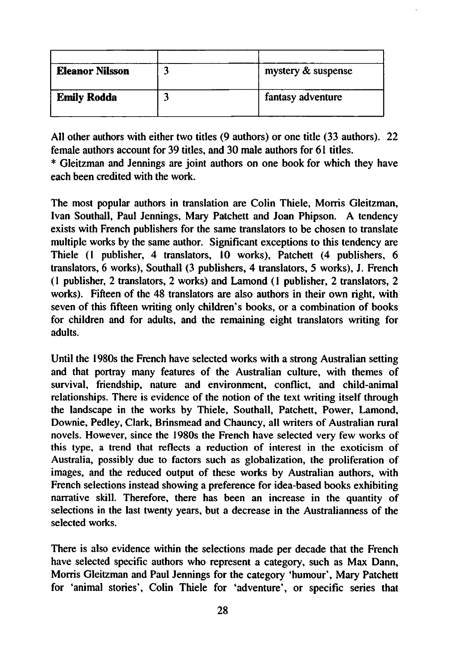| <b>Eleanor Nilsson</b> | mystery & suspense |
|------------------------|--------------------|
| <b>Emily Rodda</b>     | fantasy adventure  |

All other authors with either two titles (9 authors) or one title (33 authors). 22 female authors account for 39 titles, and 30 male authors for 61 titles.

Gleitzman and Jennings are joint authors on one book for which they have each been credited with the work.

The most popular authors in translation are Colin Thiele, Morris Gleitzman, Ivan Southall, Paul Jennings, Mary Patchett and Joan Phipson. A tendency exists with French publishers for the same translators to be chosen to translate multiple works by the same author. Significant exceptions to this tendency are Thiele (1 publisher, 4 translators, 10 works), Patchett (4 publishers, 6 translators, 6 works), Southall (3 publishers, 4 translators, 5 works), J. French  $(1$  publisher,  $2$  translators,  $2$  works) and Lamond  $(1$  publisher,  $2$  translators,  $2$ works). Fifteen of the 48 translators are also authors in their own right, with seven of this fifteen writing only children's books, or a combination of books for children and for adults, and the remaining eight translators writing for adults.

Until the 1980s the French have selected works with a strong Australian setting and that portray many features of the Australian culture, with themes of survival, friendship, nature and environment, conflict, and child-animal relationships. There is evidence of the notion of the text writing itself through the landscape in the works by Thiele, Southall, Patchett, Power, Lamond, Downie, Pedley, Clark, Brinsmead and Chauncy, all writers of Australian rural novels. However, since the 1980s the French have selected very few works of this type, a trend that reflects a reduction of interest in the exoticism of Australia, possibly due to factors such as globalization, the proliferation of images, and the reduced output of these works by Australian authors, with French selections instead showing a preference for idea-based books exhibiting narrative skill. Therefore, there has been an increase in the quantity of selections in the last twenty years, but a decrease in the Australianness of the selected works.

There is also evidence within the selections made per decade that the French have selected specific authors who represent a category, such as Max Dann, Morris Gleitzman and Paul Jennings for the category 'humour', Mary Patchett for 'animal stories', Colin Thiele for 'adventure', or specific series that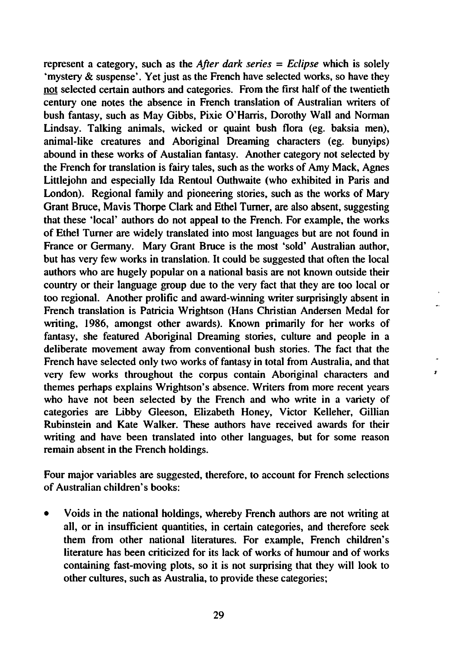represent a category, such as the *After dark series*  $=$  *Eclipse* which is solely 'mystery & suspense'. Yet just as the French have selected works, so have they not selected certain authors and categories. From the first half of the twentieth century one notes the absence in French translation of Australian writers of bush fantasy, such as May Gibbs, Pixie O'Harris, Dorothy Wall and Norman Lindsay. Talking animals, wicked or quaint bush flora (eg. baksia men), animal-like creatures and Aboriginal Dreaming characters (eg. bunyips) abound in these works of Austalian fantasy. Another category not selected by the French for translation is fairy tales, such as the works of Amy Mack, Agnes Littlejohn and especially Ida Rentoul Outhwaite (who exhibited in Paris and London). Regional family and pioneering stories, such as the works of Mary Grant Bruce, Mavis Thorpe Clark and Ethel Turner, are also absent, suggesting that these 'local' authors do not appeal to the French. For example, the works of Ethel Turner are widely translated into most languages but are not found in France or Germany. Mary Grant Bruce is the most 'sold' Australian author, but has very few works in translation. It could be suggested that often the local authors who are hugely popular on a national basis are not known outside their country or their language group due to the very fact that they are too local or too regional. Another prolific and award-winning writer surprisingly absent in French translation is Patricia Wrightson (Hans Christian Andersen Medal for writing, 1986, amongst other awards). Known primarily for her works of fantasy, she featured Aboriginal Dreaming stories, culture and people in a deliberate movement away from conventional bush stories. The fact that the French have selected only two works of fantasy in total from Australia, and that very few works throughout the corpus contain Aboriginal characters and themes perhaps explains Wrightson's absence. Writers from more recent years who have not been selected by the French and who write in a variety of categories are Libby Gleeson, Elizabeth Honey, Victor Kelleher, Gillian Rubinstein and Kate Walker. These authors have received awards for their writing and have been translated into other languages, but for some reason remain absent in the French holdings.

Four major variables are suggested, therefore, to account for French selections of Australian children's books:

Voids in the national holdings, whereby French authors are not writing at  $\bullet$ all, or in insufficient quantities, in certain categories, and therefore seek them from other national literatures. For example, French children's literature has been criticized for its lack of works of humour and of works containing fast-moving plots, so it is not surprising that they will look to other cultures, such as Australia, to provide these categories;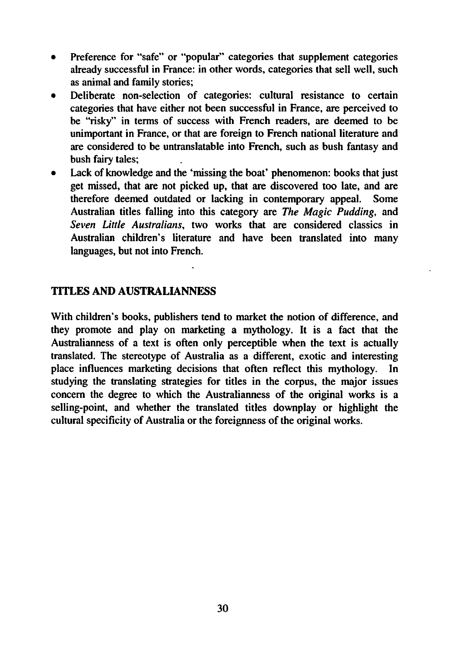- Preference for "safe" or "popular" categories that supplement categories  $\bullet$ already successful in France: in other words, categories that sell well, such as animal and family stories;
- Deliberate non-selection of categories: cultural resistance to certain categories that have either not been successful in France, are perceived to be "risky" in terms of success with French readers, are deemed to be unimportant in France, or that are foreign to French national literature and are considered to be untranslatable into French, such as bush fantasy and bush fairy tales;
- Lack of knowledge and the 'missing the boat' phenomenon: books that just  $\bullet$ get missed, that are not picked up, that are discovered too late, and are therefore deemed outdated or lacking in contemporary appeal. Some Australian titles falling into this category are The Magic Pudding, and Seven Little Australians, two works that are considered classics in Australian children's literature and have been translated into many languages, but not into French.

### TITLES AND AUSTRALIANNESS

With children's books, publishers tend to market the notion of difference, and they promote and play on marketing a mythology. It is a fact that the Australianness of a text is often only perceptible when the text is actually translated. The stereotype of Australia as different, exotic and interesting place influences marketing decisions that often reflect this mythology. In studying the translating strategies for titles in the corpus, the major issues concern the degree to which the Australianness of the original works is selling-point, and whether the translated titles downplay or highlight the cultural specificity of Australia or the foreignness of the original works.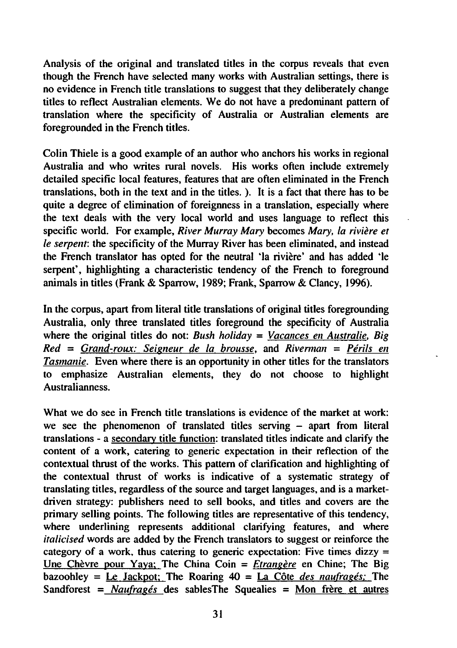Analysis of the original and translated titles in the corpus reveals that even though the French have selected many works with Australian settings, there is no evidence in French title translations to suggest that they deliberately change titles to reflect Australian elements. We do not have a predominant pattern of translation where the specificity of Australia or Australian elements are foregrounded in the French titles.

Colin Thiele is good example of an author who anchors his works in regional Australia and who writes rural novels. His works often include extremely detailed specific local features, features that are often eliminated in the French translations, both in the text and in the titles. ). It is a fact that there has to be quite a degree of elimination of foreignness in a translation, especially where the text deals with the very local world and uses language to reflect this specific world. For example, River Murray Mary becomes Mary, la rivière et le serpent: the specificity of the Murray River has been eliminated, and instead the French translator has opted for the neutral 'la riviere' and has added 'le serpent', highlighting a characteristic tendency of the French to foreground animals in titles (Frank & Sparrow, 1989; Frank, Sparrow & Clancy, 1996).

In the corpus, apart from literal title translations of original titles foregrounding Australia, only three translated titles foreground the specificity of Australia where the original titles do not: Bush holiday = Vacances en Australie. Big  $Red = Grand-roux$ : Seigneur de la brousse, and Riverman = Périls en Tasmanie. Even where there is an opportunity in other titles for the translators to emphasize Australian elements, they do not choose to highlight Australianness.

What we do see in French title translations is evidence of the market at work: we see the phenomenon of translated titles serving  $-$  apart from literal translations - a secondary title function: translated titles indicate and clarify the content of a work, catering to generic expectation in their reflection of the contextual thrust of the works. This pattern of clarification and highlighting of the contextual thrust of works is indicative of a systematic strategy of translating titles, regardless of the source and target languages, and is a marketdriven strategy: publishers need to sell books, and titles and covers are the primary selling points. The following titles are representative of this tendency, where underlining represents additional clarifying features, and where italicised words are added by the French translators to suggest or reinforce the category of a work, thus catering to generic expectation: Five times dizzy = Une Chèvre pour Yaya; The China Coin =  $\hat{E}$ trangère en Chine; The Big bazoohley = Le Jackpot; The Roaring  $40 =$  La Côte des naufrages; The Sandforest =  $N$ aufragés des sablesThe Squealies = Mon frère et autres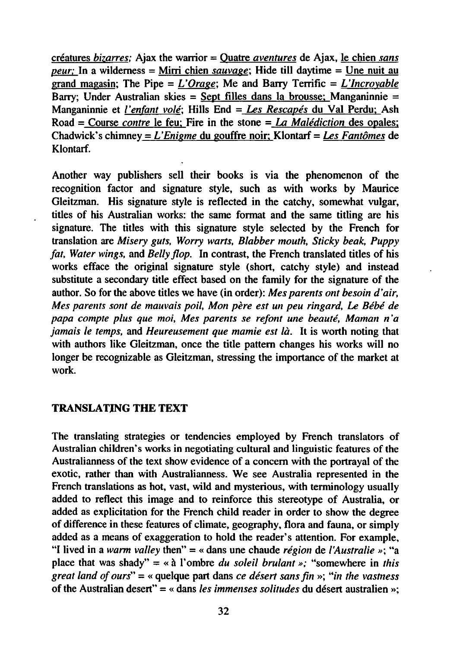créatures bizarres: Ajax the warrior = Quatre aventures de Ajax, le chien sans peur; In a wilderness = Mirri chien sauvage; Hide till daytime = Une nuit au grand magasin; The Pipe =  $L'Oracle$ ; Me and Barry Terrific =  $L'Incrovable$ Barry; Under Australian skies = Sept filles dans la brousse; Manganinnie = Manganinnie et l'enfant volé; Hills End = Les Rescapés du Val Perdu; Ash Road = Course *contre* le feu: Fire in the stone = La Malédiction des opales; Chadwick's chimney =  $L'$ Enigme du gouffre noir: Klontarf = Les Fantômes de Klontarf.

Another way publishers sell their books is via the phenomenon of the recognition factor and signature style, such as with works by Maurice Gleitzman. His signature style is reflected in the catchy, somewhat vulgar, titles of his Australian works: the same format and the same titling are his signature. The titles with this signature style selected by the French for translation are Misery guts, Worry warts. Blabber mouth. Sticky beak. Puppy fat, Water wings, and Belly flop. In contrast, the French translated titles of his works efface the original signature style (short, catchy style) and instead substitute a secondary title effect based on the family for the signature of the author. So for the above titles we have (in order): Mes parents ont besoin d'air, Mes parents sont de mauvais poil, Mon père est un peu ringard, Le Bébé de papa compte plus que moi, Mes parents se refont une beaute, Maman n'a jamais le temps, and Heureusement que mamie est là. It is worth noting that with authors like Gleitzman, once the title pattern changes his works will no longer be recognizable as Gleitzman, stressing the importance of the market at work.

#### TRANSLATING THE TEXT

The translating strategies or tendencies employed by French translators of Australian children's works in negotiating cultural and linguistic features of the Australianness of the text show evidence of a concern with the portrayal of the exotic, rather than with Australianness. We see Australia represented in the French translations as hot, vast, wild and mysterious, with terminology usually added to reflect this image and to reinforce this stereotype of Australia, or added as explicitation for the French child reader in order to show the degree of difference in these features of climate, geography, flora and fauna, or simply added as means of exaggeration to hold the reader's attention. For example, "I lived in a warm valley then" = « dans une chaude région de l'Australie »; "a place that was shady" = « à l'ombre du soleil brulant »; "somewhere in this great land of ours" = « quelque part dans ce désert sans fin »; "in the vastness of the Australian desert" = « dans les immenses solitudes du désert australien »;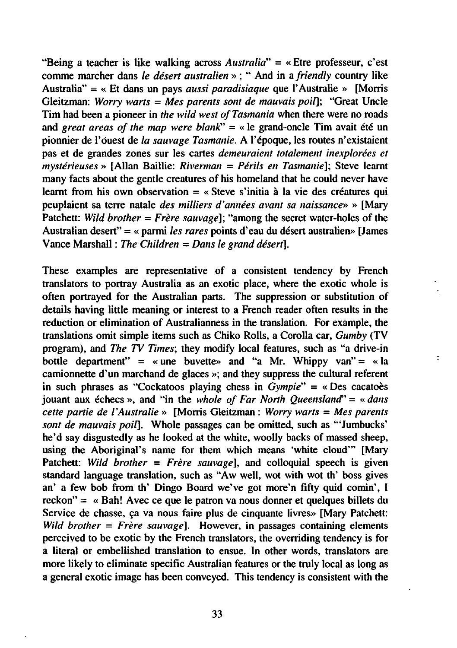"Being a teacher is like walking across Australia"  $=$  «Etre professeur, c'est comme marcher dans le désert australien » ; " And in a friendly country like Australia" = « Et dans un pays *aussi paradisiaque* que l'Australie » [Morris] Gleitzman: Worry warts = Mes parents sont de mauvais poil]; "Great Uncle Tim had been a pioneer in the wild west of Tasmania when there were no roads and great areas of the map were blank" = « le grand-oncle Tim avait été un pionnier de l'ouest de la sauvage Tasmanie. A l'époque, les routes n'existaient pas et de grandes zones sur les cartes demeuraient totalement inexplorées et  $mystérieuses$  [Allan Baillie: Riverman = Périls en Tasmanie]; Steve learnt many facts about the gentle creatures of his homeland that he could never have learnt from his own observation  $=$  « Steve s'initia à la vie des créatures qui peuplaient sa terre natale des milliers d'années avant sa naissance» » [Mary Patchett: Wild brother  $=$  Frère sauvage]; "among the secret water-holes of the Australian desert" = « parmi les rares points d'eau du désert australien» [James Vance Marshall: The Children = Dans le grand désert].

These examples are representative of a consistent tendency by French translators to portray Australia as an exotic place, where the exotic whole is often portrayed for the Australian parts. The suppression or substitution of details having little meaning or interest to a French reader often results in the reduction or elimination of Australianness in the translation. For example, the translations omit simple items such as Chiko Rolls, a Corolla car, Gumby (TV program), and The TV Times; they modify local features, such as "a drive-in bottle department" = «une buvette» and "a Mr. Whippy van" = «la camionnette d'un marchand de glaces »; and they suppress the cultural referent in such phrases as "Cockatoos playing chess in  $Gympie" = \infty$  Des cacatoes jouant aux échecs », and "in the whole of Far North Queensland" = « dans cette partie de l'Australie » [Morris Gleitzman : Worry warts = Mes parents sont de mauvais poil]. Whole passages can be omitted, such as "'Jumbucks' he'd say disgustedly as he looked at the white, woolly backs of massed sheep, using the Aboriginal's name for them which means 'white cloud'" [Mary Patchett: Wild brother = Frère sauvagel, and colloquial speech is given standard language translation, such as "Aw well, wot with wot th' boss gives an' a few bob from th' Dingo Board we've got more'n fifty quid comin', I reckon" = « Bah! Avec ce que le patron va nous donner et quelques billets du Service de chasse, ça va nous faire plus de cinquante livres» [Mary Patchett: Wild brother =  $Fr\hat{e}re$  sauvage]. However, in passages containing elements perceived to be exotic by the French translators, the overriding tendency is for a literal or embellished translation to ensue. In other words, translators are more likely to eliminate specific Australian features or the truly local as long as general exotic image has been conveyed. This tendency is consistent with the

.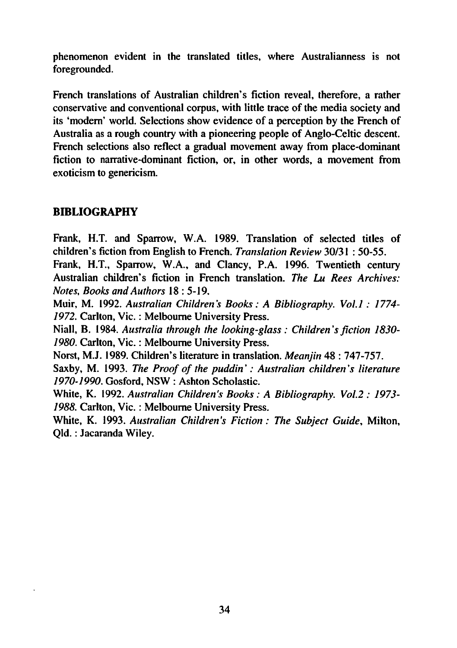phenomenon evident in the translated titles, where Australianness is not foregrounded.

French translations of Australian children's fiction reveal, therefore, a rather conservative and conventional corpus, with little trace of the media society and its 'modern' world. Selections show evidence of a perception by the French of Australia as a rough country with a pioneering people of Anglo-Celtic descent. French selections also reflect a gradual movement away from place-dominant fiction to narrative-dominant fiction, or, in other words, a movement from exoticism to genericism.

### BIBLIOGRAPHY

Frank, H.T. and Sparrow, W.A. 1989. Translation of selected titles of children's fiction from English to French. Translation Review 30/31: 50-55.

Frank, H.T., Sparrow, W.A., and Clancy, P.A. 1996. Twentieth century Australian children's fiction in French translation. The Lu Rees Archives: Notes, Books and Authors 18:5-19.

Muir. M. 1992. Australian Children's Books: A Bibliography. Vol.1: 1774-1972. Carlton, Vic.: Melbourne University Press.

Niall, B. 1984. Australia through the looking-glass: Children's fiction 1830-1980. Carlton, Vic.: Melbourne University Press.

Norst, M.J. 1989. Children's literature in translation. *Meanjin* 48: 747-757.

Saxby, M. 1993. The Proof of the puddin': Australian children's literature 1970-1990. Gosford, NSW : Ashton Scholastic.

White, K. 1992. Australian Children's Books: A Bibliography. Vol.2: 1973-1988. Carlton, Vic.: Melbourne University Press.

White, K. 1993. Australian Children's Fiction: The Subject Guide, Milton, Qld.: Jacaranda Wiley.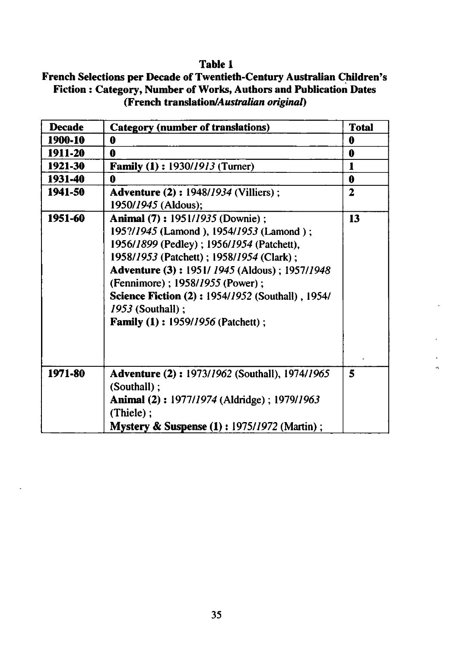### Table

# French Selections per Decade of Twentieth-Century Australian Children's Fiction : Category, Number of Works, Authors and Publication Dates (French translation/Australian original)

| <b>Decade</b> | <b>Category (number of translations)</b>                                                                                                                                                                                                                                                                                                                                                               | <b>Total</b> |
|---------------|--------------------------------------------------------------------------------------------------------------------------------------------------------------------------------------------------------------------------------------------------------------------------------------------------------------------------------------------------------------------------------------------------------|--------------|
| 1900-10       | 0                                                                                                                                                                                                                                                                                                                                                                                                      | 0            |
| 1911-20       | 0                                                                                                                                                                                                                                                                                                                                                                                                      | 0            |
| 1921-30       | <b>Family (1): 1930/1913 (Turner)</b>                                                                                                                                                                                                                                                                                                                                                                  | $\mathbf{1}$ |
| 1931-40       | O                                                                                                                                                                                                                                                                                                                                                                                                      | 0            |
| 1941-50       | <b>Adventure (2): 1948/1934 (Villiers):</b><br>1950/1945 (Aldous);                                                                                                                                                                                                                                                                                                                                     | 2            |
| 1951-60       | <b>Animal (7): 1951/1935 (Downie):</b><br>195?/1945 (Lamond), 1954/1953 (Lamond);<br>1956/1899 (Pedley); 1956/1954 (Patchett),<br>1958/1953 (Patchett); 1958/1954 (Clark);<br><b>Adventure (3): 1951/1945 (Aldous): 1957/1948</b><br>(Fennimore); 1958/1955 (Power);<br><b>Science Fiction (2): 1954/1952 (Southall), 1954/</b><br><i>1953</i> (Southall);<br><b>Family (1): 1959/1956 (Patchett);</b> | 13           |
| 1971-80       | <b>Adventure (2): 1973/1962 (Southall), 1974/1965</b><br>(Southall);<br><b>Animal (2): 1977/1974 (Aldridge): 1979/1963</b><br>$(Thiele)$ :<br><b>Mystery &amp; Suspense (1): 1975/1972 (Martin);</b>                                                                                                                                                                                                   | 5            |

u.